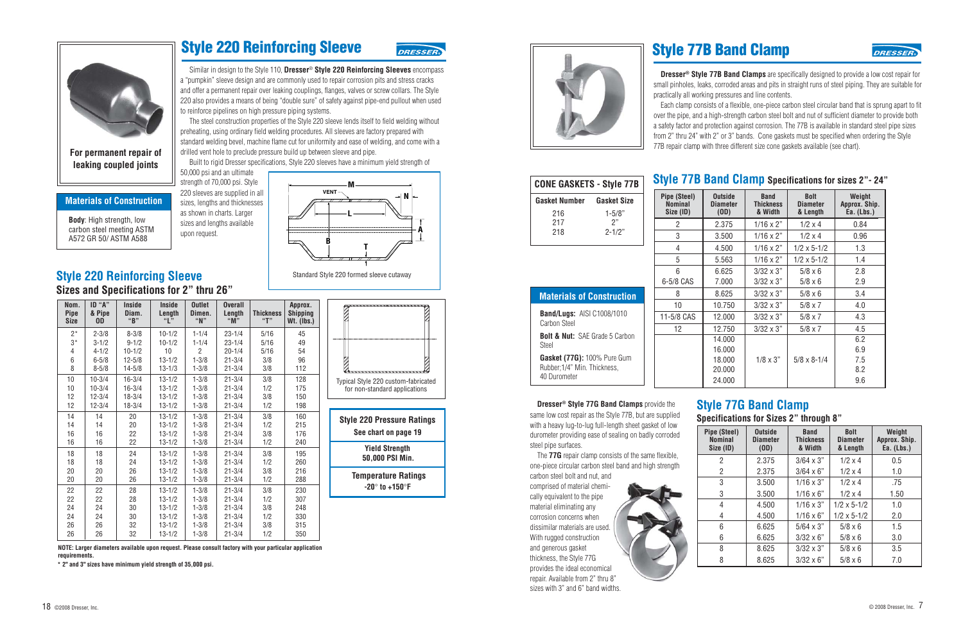

#### **Materials of Construction**

**Body**: High strength, low carbon steel meeting ASTM A572 GR 50/ ASTM A588

### **Style 220 Reinforcing Sleeve**

**DRESSEI** 

Similar in design to the Style 110, **Dresser**® **Style 220 Reinforcing Sleeves** encompass a "pumpkin" sleeve design and are commonly used to repair corrosion pits and stress cracks and offer a permanent repair over leaking couplings, flanges, valves or screw collars. The Style 220 also provides a means of being "double sure" of safety against pipe-end pullout when used to reinforce pipelines on high pressure piping systems.

The steel construction properties of the Style 220 sleeve lends itself to field welding without preheating, using ordinary field welding procedures. All sleeves are factory prepared with standard welding bevel, machine flame cut for uniformity and ease of welding, and come with a drilled vent hole to preclude pressure build up between sleeve and pipe.

Built to rigid Dresser specifications, Style 220 sleeves have a minimum yield strength of

50,000 psi and an ultimate strength of 70,000 psi. Style 220 sleeves are supplied in all sizes, lengths and thicknesses as shown in charts. Larger sizes and lengths available upon request.



Standard Style 220 formed sleeve cutaway

### **Style 220 Reinforcing Sleeve Sizes and Specifications for 2" thru 26"**

| Nom.<br><b>Pipe</b><br><b>Size</b> | ID "A"<br>& Pipe<br><b>OD</b> | <b>Inside</b><br>Diam.<br>"B" | <b>Inside</b><br>Length<br>"[" | <b>Outlet</b><br>Dimen.<br>"N" | <b>Overall</b><br>Length<br>"M" | <b>Thickness</b><br>"T" | Approx.<br><b>Shipping</b><br>$Wt.$ (lbs.) |
|------------------------------------|-------------------------------|-------------------------------|--------------------------------|--------------------------------|---------------------------------|-------------------------|--------------------------------------------|
| $2^*$                              | $2 - 3/8$                     | $8 - 3/8$                     | $10 - 1/2$                     | $1 - 1/4$                      | $23 - 1/4$                      | 5/16                    | 45                                         |
| $3*$                               | $3 - 1/2$                     | $9 - 1/2$                     | $10 - 1/2$                     | $1 - 1/4$                      | $23 - 1/4$                      | 5/16                    | 49                                         |
| 4                                  | $4 - 1/2$                     | $10 - 1/2$                    | 10                             | 2                              | $20 - 1/4$                      | 5/16                    | 54                                         |
| 6                                  | $6 - 5/8$                     | $12 - 5/8$                    | $13 - 1/2$                     | $1 - 3/8$                      | $21 - 3/4$                      | 3/8                     | 96                                         |
| 8                                  | $8 - 5/8$                     | $14 - 5/8$                    | $13 - 1/3$                     | $1 - 3/8$                      | $21 - 3/4$                      | 3/8                     | 112                                        |
| 10                                 | $10 - 3/4$                    | $16 - 3/4$                    | $13 - 1/2$                     | $1 - 3/8$                      | $21 - 3/4$                      | 3/8                     | 128                                        |
| 10                                 | $10 - 3/4$                    | $16 - 3/4$                    | $13 - 1/2$                     | $1 - 3/8$                      | $21 - 3/4$                      | 1/2                     | 175                                        |
| 12                                 | $12 - 3/4$                    | $18 - 3/4$                    | $13 - 1/2$                     | $1 - 3/8$                      | $21 - 3/4$                      | 3/8                     | 150                                        |
| 12                                 | $12 - 3/4$                    | $18 - 3/4$                    | $13 - 1/2$                     | $1 - 3/8$                      | $21 - 3/4$                      | 1/2                     | 198                                        |
| 14                                 | 14                            | 20                            | $13 - 1/2$                     | $1 - 3/8$                      | $21 - 3/4$                      | 3/8                     | 160                                        |
| 14                                 | 14                            | 20                            | $13 - 1/2$                     | $1 - 3/8$                      | $21 - 3/4$                      | 1/2                     | 215                                        |
| 16                                 | 16                            | 22                            | $13 - 1/2$                     | $1 - 3/8$                      | $21 - 3/4$                      | 3/8                     | 176                                        |
| 16                                 | 16                            | 22                            | $13 - 1/2$                     | $1 - 3/8$                      | $21 - 3/4$                      | 1/2                     | 240                                        |
| 18                                 | 18                            | 24                            | $13 - 1/2$                     | $1 - 3/8$                      | $21 - 3/4$                      | 3/8                     | 195                                        |
| 18                                 | 18                            | 24                            | $13 - 1/2$                     | $1 - 3/8$                      | $21 - 3/4$                      | 1/2                     | 260                                        |
| 20                                 | 20                            | 26                            | $13 - 1/2$                     | $1 - 3/8$                      | $21 - 3/4$                      | 3/8                     | 216                                        |
| 20                                 | 20                            | 26                            | $13 - 1/2$                     | $1 - 3/8$                      | $21 - 3/4$                      | 1/2                     | 288                                        |
| 22                                 | 22                            | 28                            | $13 - 1/2$                     | $1 - 3/8$                      | $21 - 3/4$                      | 3/8                     | 230                                        |
| 22                                 | 22                            | 28                            | $13 - 1/2$                     | $1 - 3/8$                      | $21 - 3/4$                      | 1/2                     | 307                                        |
| 24                                 | 24                            | 30                            | $13 - 1/2$                     | $1 - 3/8$                      | $21 - 3/4$                      | 3/8                     | 248                                        |
| 24                                 | 24                            | 30                            | $13 - 1/2$                     | $1 - 3/8$                      | $21 - 3/4$                      | 1/2                     | 330                                        |
| 26                                 | 26                            | 32                            | $13 - 1/2$                     | $1 - 3/8$                      | $21 - 3/4$                      | 3/8                     | 315                                        |
| 26                                 | 26                            | 32                            | $13 - 1/2$                     | $1 - 3/8$                      | $21 - 3/4$                      | 1/2                     | 350                                        |



**Yield Strength 50,000 PSI Min.**

**Temperature Ratings -20**° **to +150**°**F**

**NOTE: Larger diameters available upon request. Please consult factory with your particular application requirements.**

**\* 2" and 3" sizes have minimum yield strength of 35,000 psi.**